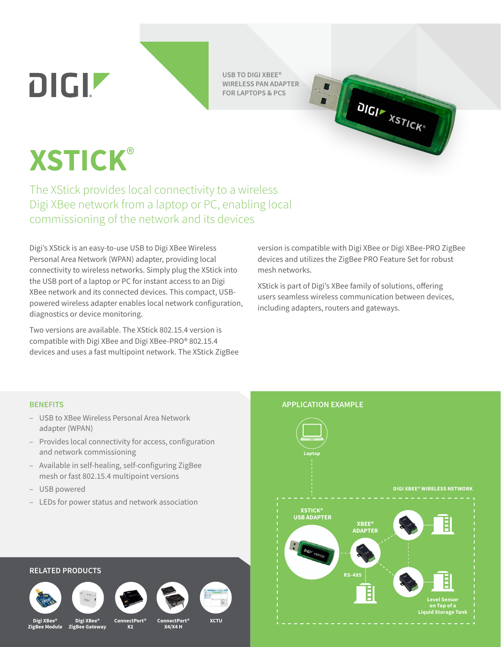**DIGIZ** 

**USB TO DIGI XBEE® WIRELESS PAN ADAPTER FOR LAPTOPS & PCS**



# **XSTICK**®

The XStick provides local connectivity to a wireless Digi XBee network from a laptop or PC, enabling local commissioning of the network and its devices

Digi's XStick is an easy-to-use USB to Digi XBee Wireless Personal Area Network (WPAN) adapter, providing local connectivity to wireless networks. Simply plug the XStick into the USB port of a laptop or PC for instant access to an Digi XBee network and its connected devices. This compact, USBpowered wireless adapter enables local network configuration, diagnostics or device monitoring.

Two versions are available. The XStick 802.15.4 version is compatible with Digi XBee and Digi XBee-PRO® 802.15.4 devices and uses a fast multipoint network. The XStick ZigBee version is compatible with Digi XBee or Digi XBee-PRO ZigBee devices and utilizes the ZigBee PRO Feature Set for robust mesh networks.

XStick is part of Digi's XBee family of solutions, offering users seamless wireless communication between devices, including adapters, routers and gateways.

- USB to XBee Wireless Personal Area Network adapter (WPAN)
- Provides local connectivity for access, configuration and network commissioning
- Available in self-healing, self-configuring ZigBee mesh or fast 802.15.4 multipoint versions
- USB powered
- LEDs for power status and network association



## **RELATED PRODUCTS**









**XCTU**

**Digi XBee® ZigBee Module ZigBee Gateway**

**Digi XBee®**

**ConnectPort® X2**

**ConnectPort® X4/X4 H**